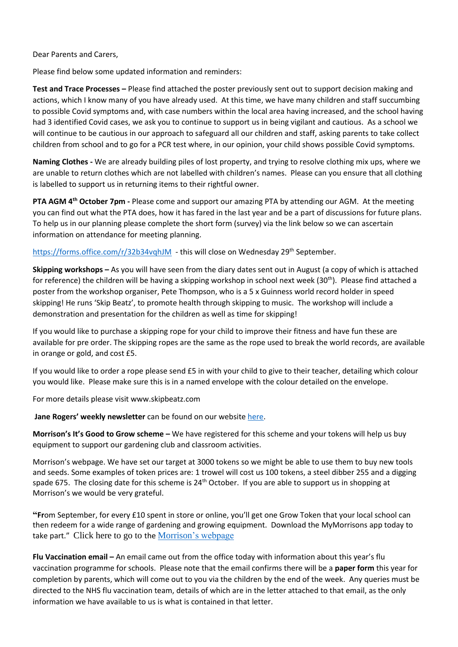Dear Parents and Carers,

Please find below some updated information and reminders:

**Test and Trace Processes –** Please find attached the poster previously sent out to support decision making and actions, which I know many of you have already used. At this time, we have many children and staff succumbing to possible Covid symptoms and, with case numbers within the local area having increased, and the school having had 3 identified Covid cases, we ask you to continue to support us in being vigilant and cautious. As a school we will continue to be cautious in our approach to safeguard all our children and staff, asking parents to take collect children from school and to go for a PCR test where, in our opinion, your child shows possible Covid symptoms.

**Naming Clothes -** We are already building piles of lost property, and trying to resolve clothing mix ups, where we are unable to return clothes which are not labelled with children's names. Please can you ensure that all clothing is labelled to support us in returning items to their rightful owner.

**PTA AGM 4 th October 7pm -** Please come and support our amazing PTA by attending our AGM. At the meeting you can find out what the PTA does, how it has fared in the last year and be a part of discussions for future plans. To help us in our planning please complete the short form (survey) via the link below so we can ascertain information on attendance for meeting planning.

<https://forms.office.com/r/32b34vqhJM> - this will close on Wednesday 29<sup>th</sup> September.

**Skipping workshops –** As you will have seen from the diary dates sent out in August (a copy of which is attached for reference) the children will be having a skipping workshop in school next week  $(30<sup>th</sup>)$ . Please find attached a poster from the workshop organiser, Pete Thompson, who is a 5 x Guinness world record holder in speed skipping! He runs 'Skip Beatz', to promote health through skipping to music. The workshop will include a demonstration and presentation for the children as well as time for skipping!

If you would like to purchase a skipping rope for your child to improve their fitness and have fun these are available for pre order. The skipping ropes are the same as the rope used to break the world records, are available in orange or gold, and cost £5.

If you would like to order a rope please send £5 in with your child to give to their teacher, detailing which colour you would like. Please make sure this is in a named envelope with the colour detailed on the envelope.

For more details please visit www.skipbeatz.com

**Jane Rogers' weekly newsletter** can be found on our website [here.](https://www.swavesey.cambs.sch.uk/page/?title=Jane+Rogers%27+Resources&pid=130&action=saved)

**Morrison's It's Good to Grow scheme –** We have registered for this scheme and your tokens will help us buy equipment to support our gardening club and classroom activities.

Morrison's webpage. We have set our target at 3000 tokens so we might be able to use them to buy new tools and seeds. Some examples of token prices are: 1 trowel will cost us 100 tokens, a steel dibber 255 and a digging spade 675. The closing date for this scheme is  $24<sup>th</sup>$  October. If you are able to support us in shopping at Morrison's we would be very grateful.

**"Fr**om September, for every £10 spent in store or online, you'll get one Grow Token that your local school can then redeem for a wide range of gardening and growing equipment. Download the MyMorrisons app today to take part." Click here to go to the [Morrison's webpage](https://my.morrisons.com/blog/community/good-to-grow/)

**Flu Vaccination email –** An email came out from the office today with information about this year's flu vaccination programme for schools. Please note that the email confirms there will be a **paper form** this year for completion by parents, which will come out to you via the children by the end of the week. Any queries must be directed to the NHS flu vaccination team, details of which are in the letter attached to that email, as the only information we have available to us is what is contained in that letter.